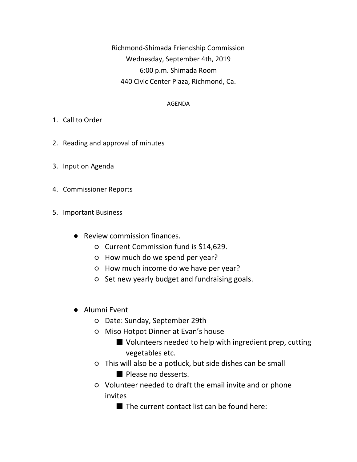Richmond-Shimada Friendship Commission Wednesday, September 4th, 2019 6:00 p.m. Shimada Room 440 Civic Center Plaza, Richmond, Ca.

## AGENDA

- 1. Call to Order
- 2. Reading and approval of minutes
- 3. Input on Agenda
- 4. Commissioner Reports
- 5. Important Business
	- Review commission finances.
		- Current Commission fund is \$14,629.
		- How much do we spend per year?
		- How much income do we have per year?
		- Set new yearly budget and fundraising goals.
	- Alumni Event
		- Date: Sunday, September 29th
		- Miso Hotpot Dinner at Evan's house
			- Volunteers needed to help with ingredient prep, cutting vegetables etc.
		- This will also be a potluck, but side dishes can be small
			- Please no desserts.
		- Volunteer needed to draft the email invite and or phone invites
			- The current contact list can be found here: